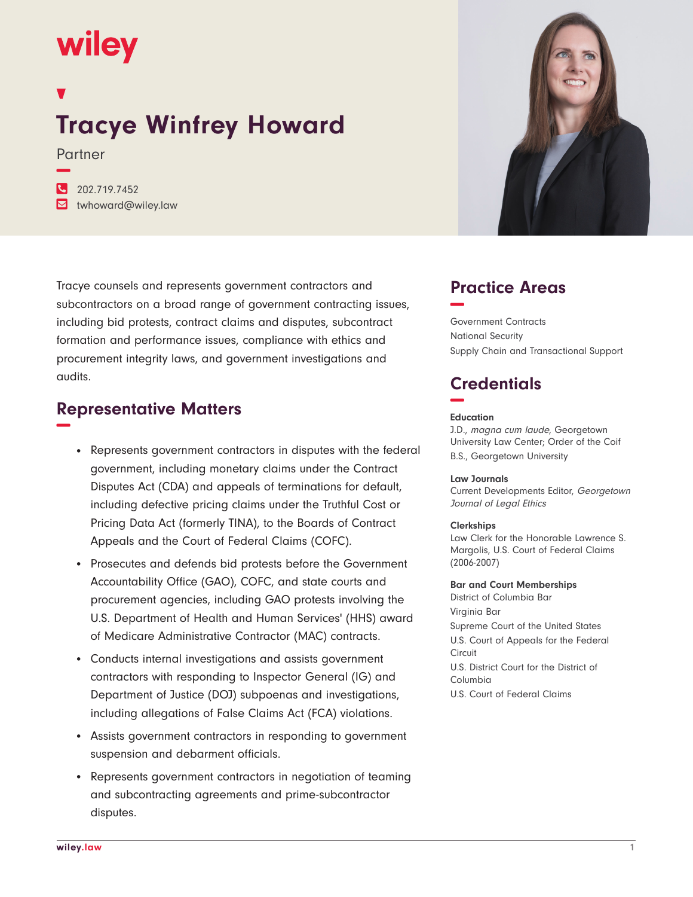# wiley

**−**

## **Tracye Winfrey Howard**

Partner

**�** 202.719.7452

**�** twhoward@wiley.law

Tracye counsels and represents government contractors and subcontractors on a broad range of government contracting issues, including bid protests, contract claims and disputes, subcontract formation and performance issues, compliance with ethics and procurement integrity laws, and government investigations and audits.

## **Representative Matters −**

- Represents government contractors in disputes with the federal government, including monetary claims under the Contract Disputes Act (CDA) and appeals of terminations for default, including defective pricing claims under the Truthful Cost or Pricing Data Act (formerly TINA), to the Boards of Contract Appeals and the Court of Federal Claims (COFC).
- Prosecutes and defends bid protests before the Government Accountability Office (GAO), COFC, and state courts and procurement agencies, including GAO protests involving the U.S. Department of Health and Human Services' (HHS) award of Medicare Administrative Contractor (MAC) contracts.
- Conducts internal investigations and assists government contractors with responding to Inspector General (IG) and Department of Justice (DOJ) subpoenas and investigations, including allegations of False Claims Act (FCA) violations.
- Assists government contractors in responding to government suspension and debarment officials.
- Represents government contractors in negotiation of teaming and subcontracting agreements and prime-subcontractor disputes.



## **Practice Areas −**

Government Contracts National Security Supply Chain and Transactional Support

## **Credentials −**

#### **Education**

J.D., magna cum laude, Georgetown University Law Center; Order of the Coif B.S., Georgetown University

#### **Law Journals**

Current Developments Editor, Georgetown Journal of Legal Ethics

#### **Clerkships**

Law Clerk for the Honorable Lawrence S. Margolis, U.S. Court of Federal Claims (2006-2007)

#### **Bar and Court Memberships**

District of Columbia Bar Virginia Bar Supreme Court of the United States U.S. Court of Appeals for the Federal Circuit U.S. District Court for the District of Columbia U.S. Court of Federal Claims